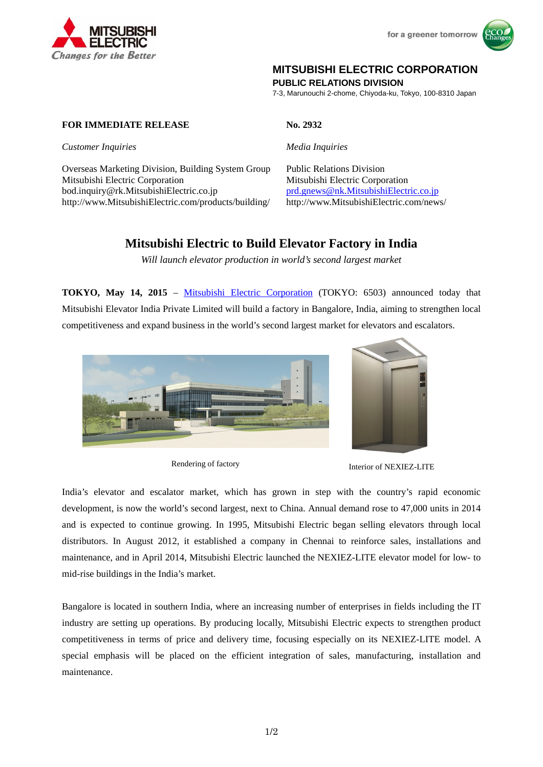



## **MITSUBISHI ELECTRIC CORPORATION**

**PUBLIC RELATIONS DIVISION** 

7-3, Marunouchi 2-chome, Chiyoda-ku, Tokyo, 100-8310 Japan

### **FOR IMMEDIATE RELEASE No. 2932**

*Customer Inquiries Media Inquiries*

Overseas Marketing Division, Building System Group Public Relations Division Mitsubishi Electric Corporation Mitsubishi Electric Corporation bod.inquiry@rk.MitsubishiElectric.co.jp prd.gnews@nk.MitsubishiElectric.co.jp http://www.MitsubishiElectric.com/products/building/ http://www.MitsubishiElectric.com/news/

# **Mitsubishi Electric to Build Elevator Factory in India**

*Will launch elevator production in world's second largest market* 

**TOKYO, May 14, 2015** – Mitsubishi Electric Corporation (TOKYO: 6503) announced today that Mitsubishi Elevator India Private Limited will build a factory in Bangalore, India, aiming to strengthen local competitiveness and expand business in the world's second largest market for elevators and escalators.





Rendering of factory **Interior of NEXIEZ-LITE** 

India's elevator and escalator market, which has grown in step with the country's rapid economic development, is now the world's second largest, next to China. Annual demand rose to 47,000 units in 2014 and is expected to continue growing. In 1995, Mitsubishi Electric began selling elevators through local distributors. In August 2012, it established a company in Chennai to reinforce sales, installations and maintenance, and in April 2014, Mitsubishi Electric launched the NEXIEZ-LITE elevator model for low- to mid-rise buildings in the India's market.

Bangalore is located in southern India, where an increasing number of enterprises in fields including the IT industry are setting up operations. By producing locally, Mitsubishi Electric expects to strengthen product competitiveness in terms of price and delivery time, focusing especially on its NEXIEZ-LITE model. A special emphasis will be placed on the efficient integration of sales, manufacturing, installation and maintenance.